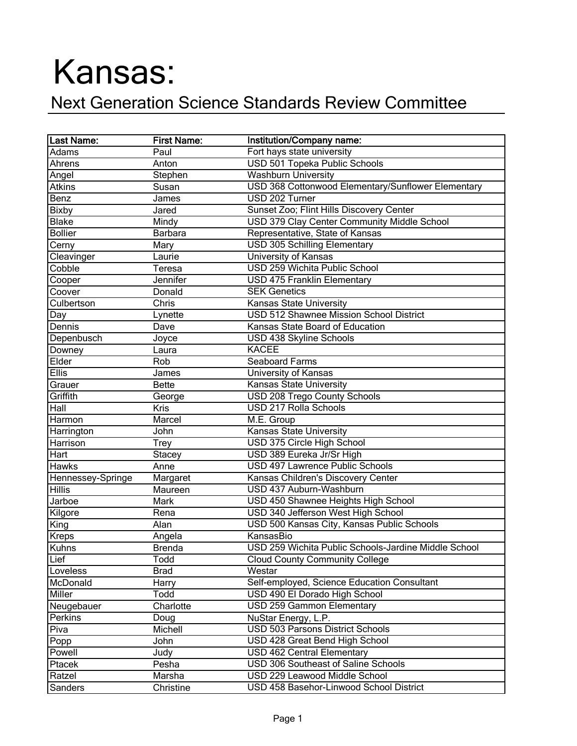## Kansas:

## Next Generation Science Standards Review Committee

| <b>Last Name:</b> | <b>First Name:</b> | Institution/Company name:                            |
|-------------------|--------------------|------------------------------------------------------|
| Adams             | Paul               | Fort hays state university                           |
| Ahrens            | Anton              | USD 501 Topeka Public Schools                        |
| Angel             | Stephen            | <b>Washburn University</b>                           |
| <b>Atkins</b>     | Susan              | USD 368 Cottonwood Elementary/Sunflower Elementary   |
| Benz              | James              | USD 202 Turner                                       |
| <b>Bixby</b>      | Jared              | Sunset Zoo; Flint Hills Discovery Center             |
| <b>Blake</b>      | Mindy              | USD 379 Clay Center Community Middle School          |
| <b>Bollier</b>    | <b>Barbara</b>     | Representative, State of Kansas                      |
| Cerny             | Mary               | <b>USD 305 Schilling Elementary</b>                  |
| Cleavinger        | Laurie             | University of Kansas                                 |
| Cobble            | Teresa             | USD 259 Wichita Public School                        |
| Cooper            | Jennifer           | <b>USD 475 Franklin Elementary</b>                   |
| Coover            | Donald             | <b>SEK Genetics</b>                                  |
| Culbertson        | Chris              | Kansas State University                              |
| Day               | Lynette            | <b>USD 512 Shawnee Mission School District</b>       |
| Dennis            | Dave               | Kansas State Board of Education                      |
| Depenbusch        | Joyce              | USD 438 Skyline Schools                              |
| Downey            | Laura              | <b>KACEE</b>                                         |
| Elder             | Rob                | Seaboard Farms                                       |
| <b>Ellis</b>      | James              | <b>University of Kansas</b>                          |
| Grauer            | <b>Bette</b>       | <b>Kansas State University</b>                       |
| Griffith          | George             | <b>USD 208 Trego County Schools</b>                  |
| Hall              | <b>Kris</b>        | <b>USD 217 Rolla Schools</b>                         |
| Harmon            | Marcel             | M.E. Group                                           |
| Harrington        | John               | <b>Kansas State University</b>                       |
| Harrison          | <b>Trey</b>        | USD 375 Circle High School                           |
| Hart              | <b>Stacey</b>      | USD 389 Eureka Jr/Sr High                            |
| <b>Hawks</b>      | Anne               | USD 497 Lawrence Public Schools                      |
| Hennessey-Springe | Margaret           | Kansas Children's Discovery Center                   |
| <b>Hillis</b>     | Maureen            | USD 437 Auburn-Washburn                              |
| Jarboe            | Mark               | USD 450 Shawnee Heights High School                  |
| Kilgore           | Rena               | USD 340 Jefferson West High School                   |
| King              | Alan               | USD 500 Kansas City, Kansas Public Schools           |
| <b>Kreps</b>      | Angela             | KansasBio                                            |
| Kuhns             | <b>Brenda</b>      | USD 259 Wichita Public Schools-Jardine Middle School |
| Lief              | Todd               | <b>Cloud County Community College</b>                |
| Loveless          | <b>Brad</b>        | Westar                                               |
| McDonald          | Harry              | Self-employed, Science Education Consultant          |
| Miller            | Todd               | USD 490 El Dorado High School                        |
| Neugebauer        | Charlotte          | USD 259 Gammon Elementary                            |
| Perkins           | Doug               | NuStar Energy, L.P.                                  |
| Piva              | Michell            | USD 503 Parsons District Schools                     |
| Popp              | John               | USD 428 Great Bend High School                       |
| Powell            | Judy               | <b>USD 462 Central Elementary</b>                    |
| Ptacek            | Pesha              | USD 306 Southeast of Saline Schools                  |
| Ratzel            | Marsha             | USD 229 Leawood Middle School                        |
| Sanders           | Christine          | USD 458 Basehor-Linwood School District              |